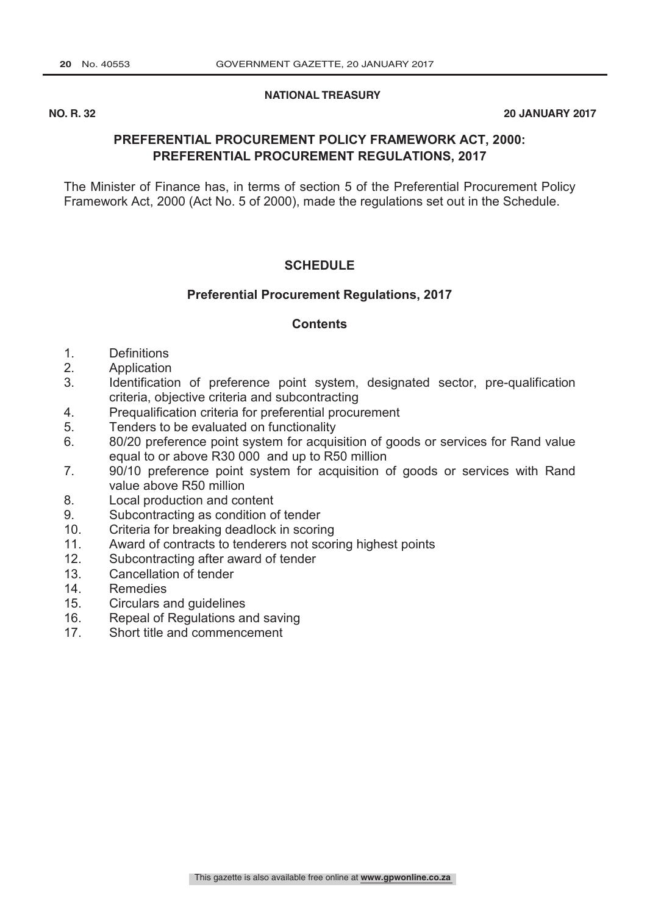**NATIONAL TREASURY** 

**NO. R. 32 20 JANUARY 2017**

# **PREFERENTIAL PROCUREMENT POLICY FRAMEWORK ACT, 2000: PREFERENTIAL PROCUREMENT REGULATIONS, 2017**

The Minister of Finance has, in terms of section 5 of the Preferential Procurement Policy Framework Act, 2000 (Act No. 5 of 2000), made the regulations set out in the Schedule.

### **SCHEDULE**

### **Preferential Procurement Regulations, 2017**

#### **Contents**

- 1. Definitions
- 2. Application
- 3. Identification of preference point system, designated sector, pre-qualification criteria, objective criteria and subcontracting
- 4. Prequalification criteria for preferential procurement<br>5 Tenders to be evaluated on functionality
- Tenders to be evaluated on functionality
- 6. 80/20 preference point system for acquisition of goods or services for Rand value equal to or above R30 000 and up to R50 million
- 7. 90/10 preference point system for acquisition of goods or services with Rand value above R50 million
- 8. Local production and content
- 9. Subcontracting as condition of tender
- 10. Criteria for breaking deadlock in scoring
- 11. Award of contracts to tenderers not scoring highest points
- 12. Subcontracting after award of tender
- 13. Cancellation of tender
- 14. Remedies
- 15. Circulars and guidelines
- 16. Repeal of Regulations and saving
- 17. Short title and commencement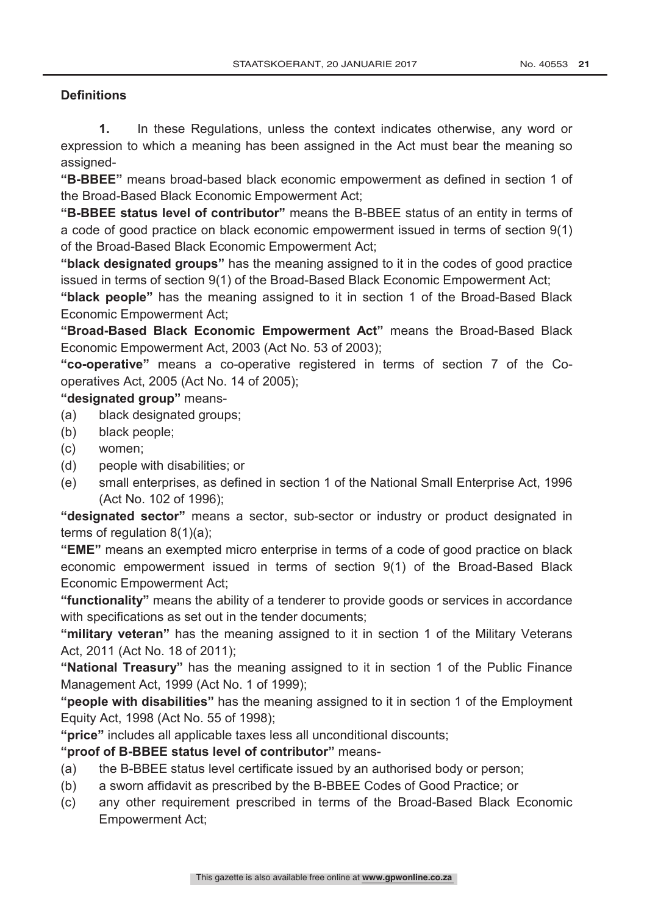## **Definitions**

**1.** In these Regulations, unless the context indicates otherwise, any word or expression to which a meaning has been assigned in the Act must bear the meaning so assigned-

**"B-BBEE"** means broad-based black economic empowerment as defined in section 1 of the Broad-Based Black Economic Empowerment Act;

**"B-BBEE status level of contributor"** means the B-BBEE status of an entity in terms of a code of good practice on black economic empowerment issued in terms of section 9(1) of the Broad-Based Black Economic Empowerment Act;

**"black designated groups"** has the meaning assigned to it in the codes of good practice issued in terms of section 9(1) of the Broad-Based Black Economic Empowerment Act;

**"black people"** has the meaning assigned to it in section 1 of the Broad-Based Black Economic Empowerment Act;

**"Broad-Based Black Economic Empowerment Act"** means the Broad-Based Black Economic Empowerment Act, 2003 (Act No. 53 of 2003);

**"co-operative"** means a co-operative registered in terms of section 7 of the Cooperatives Act, 2005 (Act No. 14 of 2005);

## **"designated group"** means-

- (a) black designated groups;
- (b) black people;
- (c) women;
- (d) people with disabilities; or
- (e) small enterprises, as defined in section 1 of the National Small Enterprise Act, 1996 (Act No. 102 of 1996);

**"designated sector"** means a sector, sub-sector or industry or product designated in terms of regulation 8(1)(a);

**"EME"** means an exempted micro enterprise in terms of a code of good practice on black economic empowerment issued in terms of section 9(1) of the Broad-Based Black Economic Empowerment Act;

**"functionality"** means the ability of a tenderer to provide goods or services in accordance with specifications as set out in the tender documents;

**"military veteran"** has the meaning assigned to it in section 1 of the Military Veterans Act, 2011 (Act No. 18 of 2011);

**"National Treasury"** has the meaning assigned to it in section 1 of the Public Finance Management Act, 1999 (Act No. 1 of 1999);

**"people with disabilities"** has the meaning assigned to it in section 1 of the Employment Equity Act, 1998 (Act No. 55 of 1998);

**"price"** includes all applicable taxes less all unconditional discounts;

## **"proof of B-BBEE status level of contributor"** means-

- (a) the B-BBEE status level certificate issued by an authorised body or person;
- (b) a sworn affidavit as prescribed by the B-BBEE Codes of Good Practice; or
- (c) any other requirement prescribed in terms of the Broad-Based Black Economic Empowerment Act;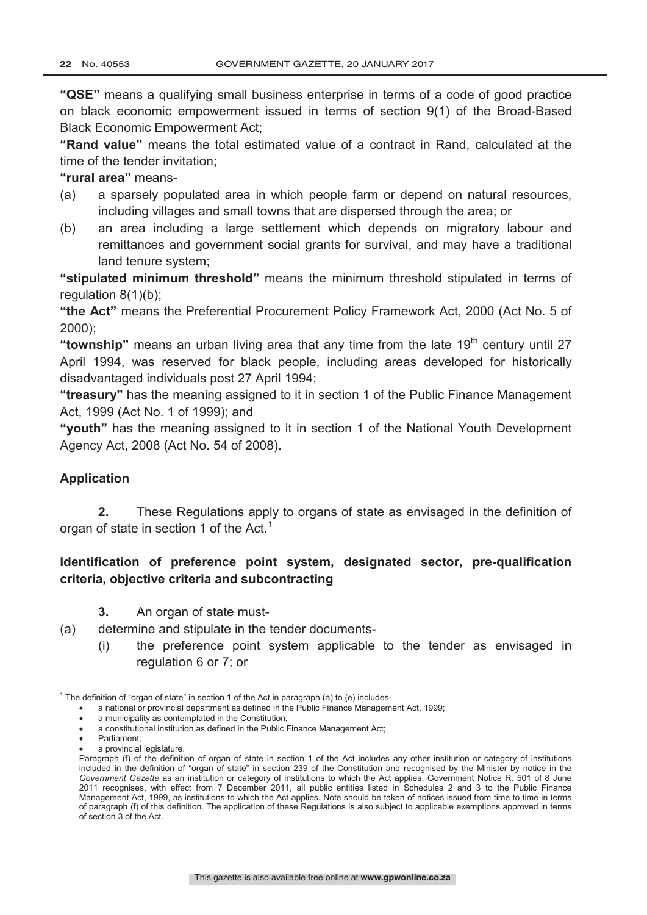**"QSE"** means a qualifying small business enterprise in terms of a code of good practice on black economic empowerment issued in terms of section 9(1) of the Broad-Based Black Economic Empowerment Act;

**"Rand value"** means the total estimated value of a contract in Rand, calculated at the time of the tender invitation;

**"rural area"** means-

- (a) a sparsely populated area in which people farm or depend on natural resources, including villages and small towns that are dispersed through the area; or
- (b) an area including a large settlement which depends on migratory labour and remittances and government social grants for survival, and may have a traditional land tenure system;

**"stipulated minimum threshold"** means the minimum threshold stipulated in terms of regulation 8(1)(b):

**"the Act"** means the Preferential Procurement Policy Framework Act, 2000 (Act No. 5 of 2000);

"**township**" means an urban living area that any time from the late 19<sup>th</sup> century until 27 April 1994, was reserved for black people, including areas developed for historically disadvantaged individuals post 27 April 1994;

**"treasury"** has the meaning assigned to it in section 1 of the Public Finance Management Act, 1999 (Act No. 1 of 1999); and

**"youth"** has the meaning assigned to it in section 1 of the National Youth Development Agency Act, 2008 (Act No. 54 of 2008).

### **Application**

**2.** These Regulations apply to organs of state as envisaged in the definition of organ of state in section 1 of the Act.<sup>1</sup>

## **Identification of preference point system, designated sector, pre-qualification criteria, objective criteria and subcontracting**

- **3.** An organ of state must-
- (a) determine and stipulate in the tender documents-
	- (i) the preference point system applicable to the tender as envisaged in regulation 6 or 7; or

a provincial legislature.

 $1$  The definition of "organ of state" in section 1 of the Act in paragraph (a) to (e) includes-

<sup>•</sup> a national or provincial department as defined in the Public Finance Management Act, 1999;

<sup>•</sup> a municipality as contemplated in the Constitution;

<sup>•</sup> a constitutional institution as defined in the Public Finance Management Act;

Parliament:

Paragraph (f) of the definition of organ of state in section 1 of the Act includes any other institution or category of institutions included in the definition of "organ of state" in section 239 of the Constitution and recognised by the Minister by notice in the *Government Gazette* as an institution or category of institutions to which the Act applies. Government Notice R. 501 of 8 June 2011 recognises, with effect from 7 December 2011, all public entities listed in Schedules 2 and 3 to the Public Finance Management Act, 1999, as institutions to which the Act applies. Note should be taken of notices issued from time to time in terms of paragraph (f) of this definition. The application of these Regulations is also subject to applicable exemptions approved in terms of section 3 of the Act.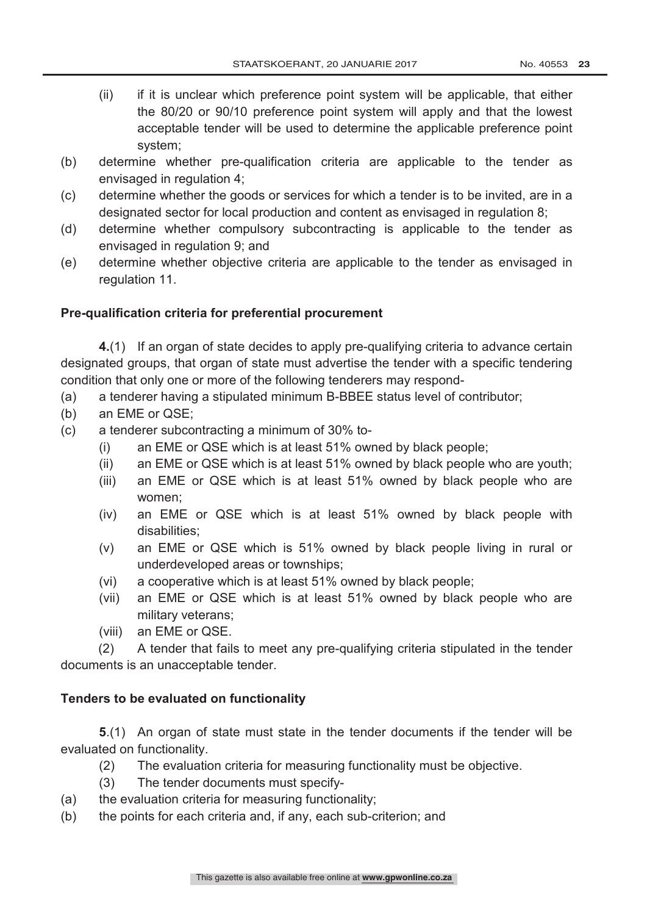- (ii) if it is unclear which preference point system will be applicable, that either the 80/20 or 90/10 preference point system will apply and that the lowest acceptable tender will be used to determine the applicable preference point system;
- (b) determine whether pre-qualification criteria are applicable to the tender as envisaged in regulation 4;
- (c) determine whether the goods or services for which a tender is to be invited, are in a designated sector for local production and content as envisaged in regulation 8;
- (d) determine whether compulsory subcontracting is applicable to the tender as envisaged in regulation 9; and
- (e) determine whether objective criteria are applicable to the tender as envisaged in regulation 11.

### **Pre-qualification criteria for preferential procurement**

**4.**(1) If an organ of state decides to apply pre-qualifying criteria to advance certain designated groups, that organ of state must advertise the tender with a specific tendering condition that only one or more of the following tenderers may respond-

- (a) a tenderer having a stipulated minimum B-BBEE status level of contributor;
- (b) an EME or QSE;
- (c) a tenderer subcontracting a minimum of 30% to-
	- (i) an EME or QSE which is at least 51% owned by black people;
	- (ii) an EME or QSE which is at least 51% owned by black people who are youth;
	- (iii) an EME or QSE which is at least 51% owned by black people who are women;
	- (iv) an EME or QSE which is at least 51% owned by black people with disabilities;
	- (v) an EME or QSE which is 51% owned by black people living in rural or underdeveloped areas or townships;
	- (vi) a cooperative which is at least 51% owned by black people;
	- (vii) an EME or QSE which is at least 51% owned by black people who are military veterans;
	- (viii) an EME or QSE.

(2) A tender that fails to meet any pre-qualifying criteria stipulated in the tender documents is an unacceptable tender.

#### **Tenders to be evaluated on functionality**

**5**.(1) An organ of state must state in the tender documents if the tender will be evaluated on functionality.

- (2) The evaluation criteria for measuring functionality must be objective.
- (3) The tender documents must specify-
- (a) the evaluation criteria for measuring functionality;
- (b) the points for each criteria and, if any, each sub-criterion; and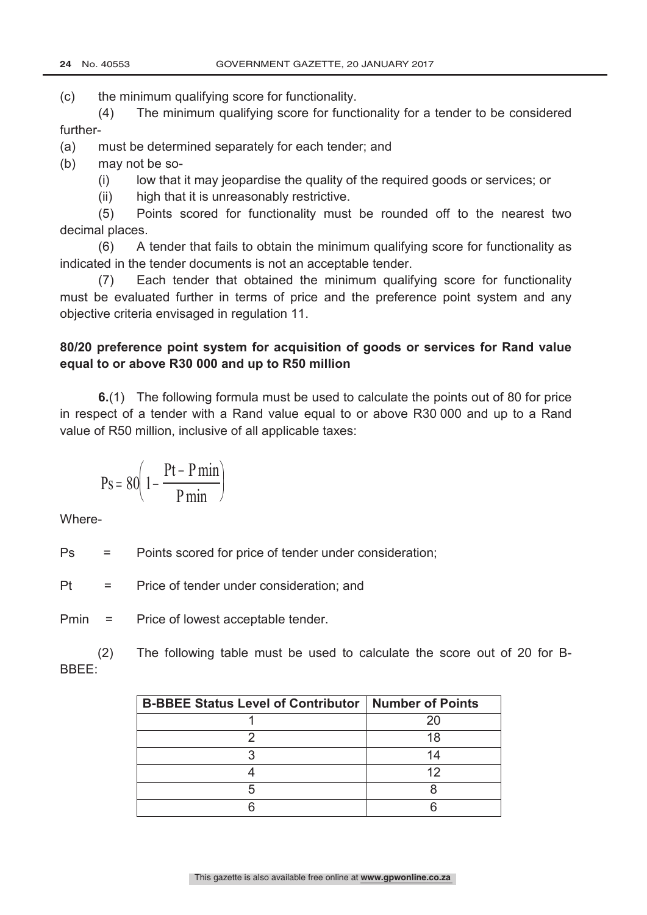(c) the minimum qualifying score for functionality.

(4) The minimum qualifying score for functionality for a tender to be considered further-

- (a) must be determined separately for each tender; and
- (b) may not be so-
	- (i) low that it may jeopardise the quality of the required goods or services; or
	- (ii) high that it is unreasonably restrictive.

(5) Points scored for functionality must be rounded off to the nearest two decimal places.

(6) A tender that fails to obtain the minimum qualifying score for functionality as indicated in the tender documents is not an acceptable tender.

(7) Each tender that obtained the minimum qualifying score for functionality must be evaluated further in terms of price and the preference point system and any objective criteria envisaged in regulation 11.

# **80/20 preference point system for acquisition of goods or services for Rand value equal to or above R30 000 and up to R50 million**

**6.**(1) The following formula must be used to calculate the points out of 80 for price in respect of a tender with a Rand value equal to or above R30 000 and up to a Rand value of R50 million, inclusive of all applicable taxes:

$$
Ps = 80 \left( 1 - \frac{Pt - P \min}{P \min} \right)
$$

Where-

Ps = Points scored for price of tender under consideration;

Pt = Price of tender under consideration; and

Pmin = Price of lowest acceptable tender.

(2) The following table must be used to calculate the score out of 20 for B-BBEE:

| <b>B-BBEE Status Level of Contributor   Number of Points</b> |    |
|--------------------------------------------------------------|----|
|                                                              |    |
|                                                              | 18 |
|                                                              | 14 |
|                                                              |    |
|                                                              |    |
|                                                              |    |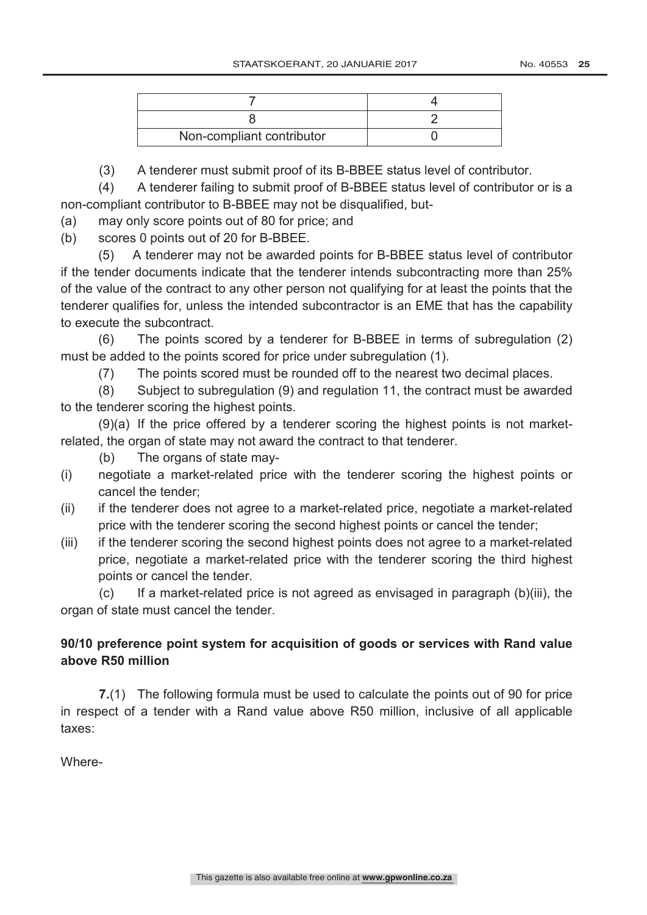| Non-compliant contributor |  |
|---------------------------|--|

(3) A tenderer must submit proof of its B-BBEE status level of contributor.

(4) A tenderer failing to submit proof of B-BBEE status level of contributor or is a non-compliant contributor to B-BBEE may not be disqualified, but-

(a) may only score points out of 80 for price; and

(b) scores 0 points out of 20 for B-BBEE.

(5) A tenderer may not be awarded points for B-BBEE status level of contributor if the tender documents indicate that the tenderer intends subcontracting more than 25% of the value of the contract to any other person not qualifying for at least the points that the tenderer qualifies for, unless the intended subcontractor is an EME that has the capability to execute the subcontract.

(6) The points scored by a tenderer for B-BBEE in terms of subregulation (2) must be added to the points scored for price under subregulation (1).

(7) The points scored must be rounded off to the nearest two decimal places.

(8) Subject to subregulation (9) and regulation 11, the contract must be awarded to the tenderer scoring the highest points.

(9)(a) If the price offered by a tenderer scoring the highest points is not marketrelated, the organ of state may not award the contract to that tenderer.

(b) The organs of state may-

- (i) negotiate a market-related price with the tenderer scoring the highest points or cancel the tender;
- (ii) if the tenderer does not agree to a market-related price, negotiate a market-related price with the tenderer scoring the second highest points or cancel the tender;
- (iii) if the tenderer scoring the second highest points does not agree to a market-related price, negotiate a market-related price with the tenderer scoring the third highest points or cancel the tender.

(c) If a market-related price is not agreed as envisaged in paragraph (b)(iii), the organ of state must cancel the tender.

# **90/10 preference point system for acquisition of goods or services with Rand value above R50 million**

**7.**(1) The following formula must be used to calculate the points out of 90 for price in respect of a tender with a Rand value above R50 million, inclusive of all applicable taxes:

Where-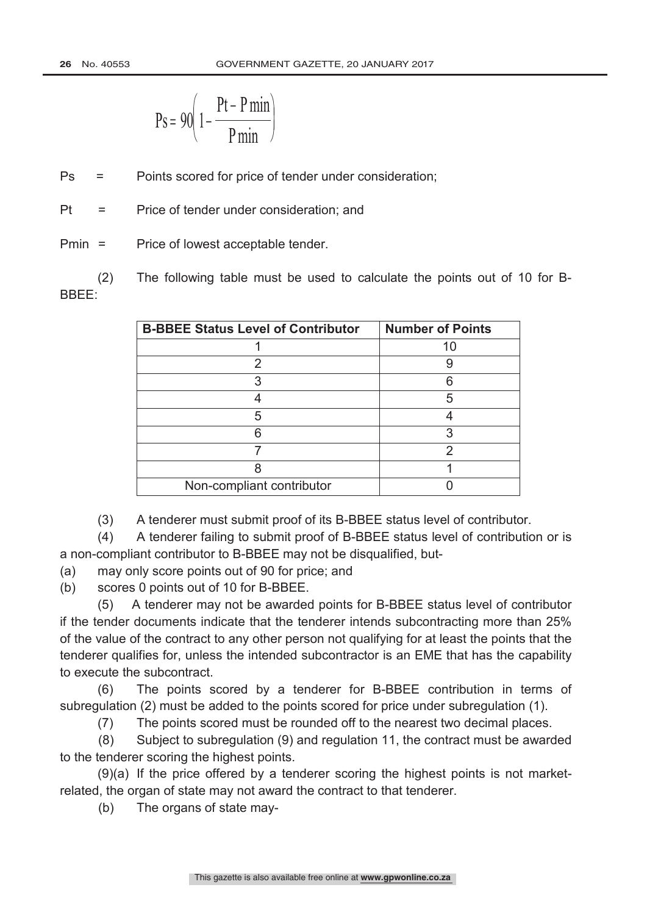$$
Ps = 90 \left( 1 - \frac{Pt - P \min}{P \min} \right)
$$

Ps = Points scored for price of tender under consideration;

Pt = Price of tender under consideration; and

Pmin = Price of lowest acceptable tender.

(2) The following table must be used to calculate the points out of 10 for B-BBEE:

| <b>B-BBEE Status Level of Contributor</b> | <b>Number of Points</b> |
|-------------------------------------------|-------------------------|
|                                           | 10                      |
|                                           |                         |
|                                           |                         |
|                                           | 5                       |
| 5                                         |                         |
|                                           |                         |
|                                           |                         |
|                                           |                         |
| Non-compliant contributor                 |                         |

(3) A tenderer must submit proof of its B-BBEE status level of contributor.

(4) A tenderer failing to submit proof of B-BBEE status level of contribution or is a non-compliant contributor to B-BBEE may not be disqualified, but-

(a) may only score points out of 90 for price; and

(b) scores 0 points out of 10 for B-BBEE.

(5) A tenderer may not be awarded points for B-BBEE status level of contributor if the tender documents indicate that the tenderer intends subcontracting more than 25% of the value of the contract to any other person not qualifying for at least the points that the tenderer qualifies for, unless the intended subcontractor is an EME that has the capability to execute the subcontract.

(6) The points scored by a tenderer for B-BBEE contribution in terms of subregulation (2) must be added to the points scored for price under subregulation (1).

(7) The points scored must be rounded off to the nearest two decimal places.

(8) Subject to subregulation (9) and regulation 11, the contract must be awarded to the tenderer scoring the highest points.

(9)(a) If the price offered by a tenderer scoring the highest points is not marketrelated, the organ of state may not award the contract to that tenderer.

(b) The organs of state may-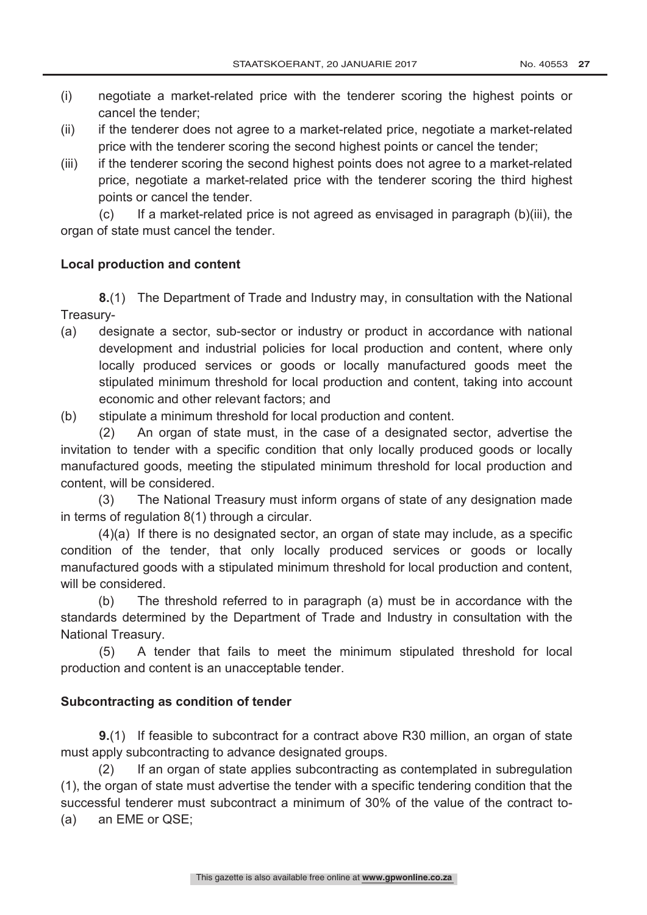- (i) negotiate a market-related price with the tenderer scoring the highest points or cancel the tender;
- (ii) if the tenderer does not agree to a market-related price, negotiate a market-related price with the tenderer scoring the second highest points or cancel the tender;
- (iii) if the tenderer scoring the second highest points does not agree to a market-related price, negotiate a market-related price with the tenderer scoring the third highest points or cancel the tender.

(c) If a market-related price is not agreed as envisaged in paragraph (b)(iii), the organ of state must cancel the tender.

### **Local production and content**

**8.**(1) The Department of Trade and Industry may, in consultation with the National Treasury-

- (a) designate a sector, sub-sector or industry or product in accordance with national development and industrial policies for local production and content, where only locally produced services or goods or locally manufactured goods meet the stipulated minimum threshold for local production and content, taking into account economic and other relevant factors; and
- (b) stipulate a minimum threshold for local production and content.

(2) An organ of state must, in the case of a designated sector, advertise the invitation to tender with a specific condition that only locally produced goods or locally manufactured goods, meeting the stipulated minimum threshold for local production and content, will be considered.

(3) The National Treasury must inform organs of state of any designation made in terms of regulation 8(1) through a circular.

(4)(a) If there is no designated sector, an organ of state may include, as a specific condition of the tender, that only locally produced services or goods or locally manufactured goods with a stipulated minimum threshold for local production and content, will be considered.

(b) The threshold referred to in paragraph (a) must be in accordance with the standards determined by the Department of Trade and Industry in consultation with the National Treasury.

(5) A tender that fails to meet the minimum stipulated threshold for local production and content is an unacceptable tender.

#### **Subcontracting as condition of tender**

**9.**(1) If feasible to subcontract for a contract above R30 million, an organ of state must apply subcontracting to advance designated groups.

(2) If an organ of state applies subcontracting as contemplated in subregulation (1), the organ of state must advertise the tender with a specific tendering condition that the successful tenderer must subcontract a minimum of 30% of the value of the contract to- (a) an EME or QSE;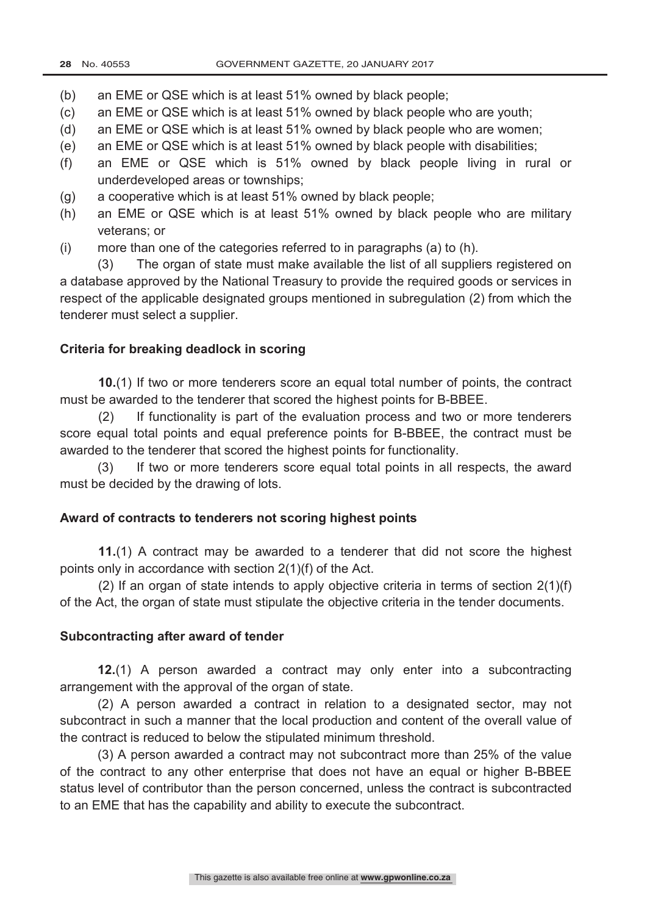- (b) an EME or QSE which is at least 51% owned by black people;
- (c) an EME or QSE which is at least 51% owned by black people who are youth;
- (d) an EME or QSE which is at least 51% owned by black people who are women;
- (e) an EME or QSE which is at least 51% owned by black people with disabilities;
- (f) an EME or QSE which is 51% owned by black people living in rural or underdeveloped areas or townships;
- (g) a cooperative which is at least 51% owned by black people;
- (h) an EME or QSE which is at least 51% owned by black people who are military veterans; or
- (i) more than one of the categories referred to in paragraphs (a) to (h).

(3) The organ of state must make available the list of all suppliers registered on a database approved by the National Treasury to provide the required goods or services in respect of the applicable designated groups mentioned in subregulation (2) from which the tenderer must select a supplier.

### **Criteria for breaking deadlock in scoring**

**10.**(1) If two or more tenderers score an equal total number of points, the contract must be awarded to the tenderer that scored the highest points for B-BBEE.

(2) If functionality is part of the evaluation process and two or more tenderers score equal total points and equal preference points for B-BBEE, the contract must be awarded to the tenderer that scored the highest points for functionality.

(3) If two or more tenderers score equal total points in all respects, the award must be decided by the drawing of lots.

#### **Award of contracts to tenderers not scoring highest points**

**11.**(1) A contract may be awarded to a tenderer that did not score the highest points only in accordance with section 2(1)(f) of the Act.

(2) If an organ of state intends to apply objective criteria in terms of section 2(1)(f) of the Act, the organ of state must stipulate the objective criteria in the tender documents.

### **Subcontracting after award of tender**

**12.**(1) A person awarded a contract may only enter into a subcontracting arrangement with the approval of the organ of state.

(2) A person awarded a contract in relation to a designated sector, may not subcontract in such a manner that the local production and content of the overall value of the contract is reduced to below the stipulated minimum threshold.

(3) A person awarded a contract may not subcontract more than 25% of the value of the contract to any other enterprise that does not have an equal or higher B-BBEE status level of contributor than the person concerned, unless the contract is subcontracted to an EME that has the capability and ability to execute the subcontract.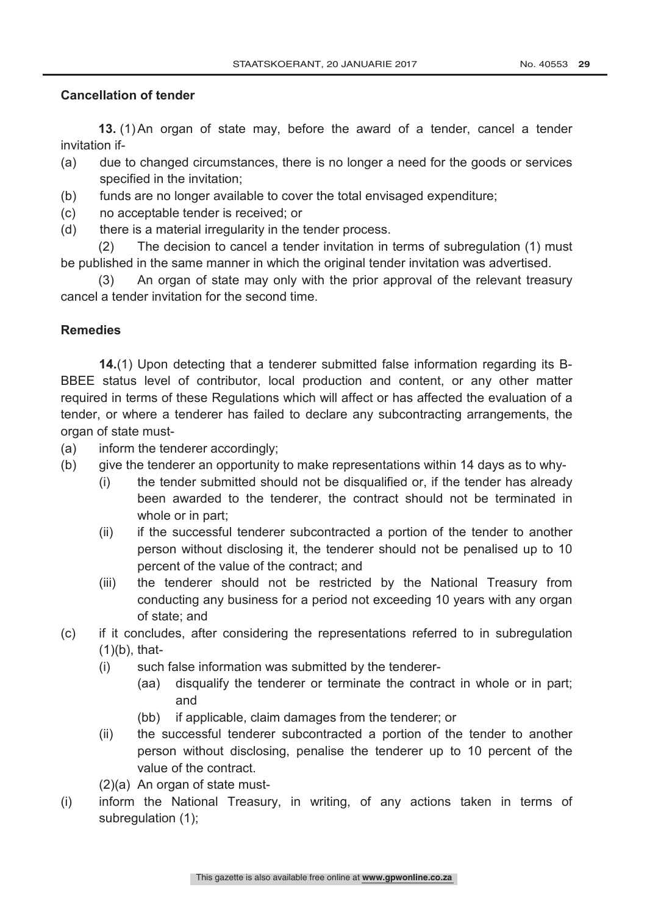## **Cancellation of tender**

**13.** (1)An organ of state may, before the award of a tender, cancel a tender invitation if-

- (a) due to changed circumstances, there is no longer a need for the goods or services specified in the invitation;
- (b) funds are no longer available to cover the total envisaged expenditure;
- (c) no acceptable tender is received; or
- (d) there is a material irregularity in the tender process.

(2) The decision to cancel a tender invitation in terms of subregulation (1) must be published in the same manner in which the original tender invitation was advertised.

(3) An organ of state may only with the prior approval of the relevant treasury cancel a tender invitation for the second time.

## **Remedies**

**14.**(1) Upon detecting that a tenderer submitted false information regarding its B-BBEE status level of contributor, local production and content, or any other matter required in terms of these Regulations which will affect or has affected the evaluation of a tender, or where a tenderer has failed to declare any subcontracting arrangements, the organ of state must-

- (a) inform the tenderer accordingly;
- (b) give the tenderer an opportunity to make representations within 14 days as to why-
	- (i) the tender submitted should not be disqualified or, if the tender has already been awarded to the tenderer, the contract should not be terminated in whole or in part;
	- (ii) if the successful tenderer subcontracted a portion of the tender to another person without disclosing it, the tenderer should not be penalised up to 10 percent of the value of the contract; and
	- (iii) the tenderer should not be restricted by the National Treasury from conducting any business for a period not exceeding 10 years with any organ of state; and
- (c) if it concludes, after considering the representations referred to in subregulation  $(1)(b)$ , that-
	- (i) such false information was submitted by the tenderer-
		- (aa) disqualify the tenderer or terminate the contract in whole or in part; and
		- (bb) if applicable, claim damages from the tenderer; or
	- (ii) the successful tenderer subcontracted a portion of the tender to another person without disclosing, penalise the tenderer up to 10 percent of the value of the contract.
	- (2)(a) An organ of state must-
- (i) inform the National Treasury, in writing, of any actions taken in terms of subregulation (1);